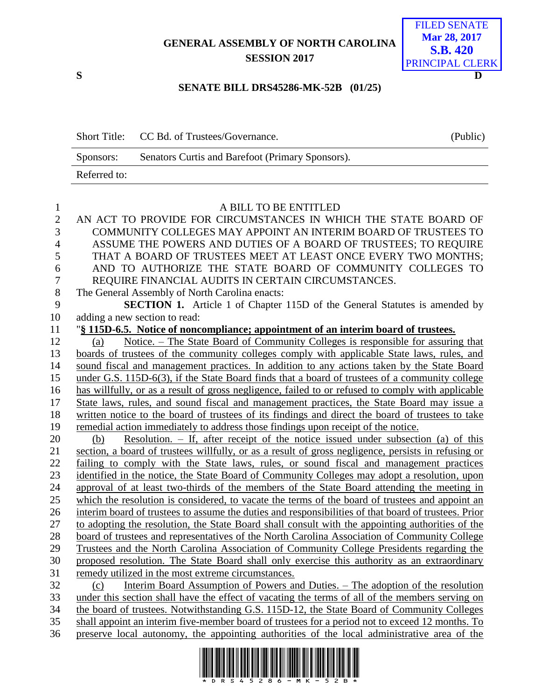## **GENERAL ASSEMBLY OF NORTH CAROLINA SESSION 2017**



## **SENATE BILL DRS45286-MK-52B (01/25)**

|              | Short Title: CC Bd. of Trustees/Governance.      | (Public) |
|--------------|--------------------------------------------------|----------|
| Sponsors:    | Senators Curtis and Barefoot (Primary Sponsors). |          |
| Referred to: |                                                  |          |
|              |                                                  |          |

| $\mathbf{1}$   | A BILL TO BE ENTITLED                                                                                |
|----------------|------------------------------------------------------------------------------------------------------|
| $\overline{2}$ | AN ACT TO PROVIDE FOR CIRCUMSTANCES IN WHICH THE STATE BOARD OF                                      |
| 3              | COMMUNITY COLLEGES MAY APPOINT AN INTERIM BOARD OF TRUSTEES TO                                       |
| $\overline{4}$ | ASSUME THE POWERS AND DUTIES OF A BOARD OF TRUSTEES; TO REQUIRE                                      |
| 5              | THAT A BOARD OF TRUSTEES MEET AT LEAST ONCE EVERY TWO MONTHS;                                        |
| 6              | AND TO AUTHORIZE THE STATE BOARD OF COMMUNITY COLLEGES TO                                            |
| $\overline{7}$ | REQUIRE FINANCIAL AUDITS IN CERTAIN CIRCUMSTANCES.                                                   |
| $8\,$          | The General Assembly of North Carolina enacts:                                                       |
| 9              | <b>SECTION 1.</b> Article 1 of Chapter 115D of the General Statutes is amended by                    |
| $10\,$         | adding a new section to read:                                                                        |
| 11             | "§ 115D-6.5. Notice of noncompliance; appointment of an interim board of trustees.                   |
| 12             | Notice. – The State Board of Community Colleges is responsible for assuring that<br>(a)              |
| 13             | boards of trustees of the community colleges comply with applicable State laws, rules, and           |
| 14             | sound fiscal and management practices. In addition to any actions taken by the State Board           |
| 15             | under G.S. 115D-6(3), if the State Board finds that a board of trustees of a community college       |
| 16             | has willfully, or as a result of gross negligence, failed to or refused to comply with applicable    |
| 17             | State laws, rules, and sound fiscal and management practices, the State Board may issue a            |
| 18             | written notice to the board of trustees of its findings and direct the board of trustees to take     |
| 19             | remedial action immediately to address those findings upon receipt of the notice.                    |
| 20             | Resolution. $-$ If, after receipt of the notice issued under subsection (a) of this<br>(b)           |
| 21             | section, a board of trustees willfully, or as a result of gross negligence, persists in refusing or  |
| 22             | failing to comply with the State laws, rules, or sound fiscal and management practices               |
| 23             | identified in the notice, the State Board of Community Colleges may adopt a resolution, upon         |
| 24             | approval of at least two-thirds of the members of the State Board attending the meeting in           |
| 25             | which the resolution is considered, to vacate the terms of the board of trustees and appoint an      |
| 26             | interim board of trustees to assume the duties and responsibilities of that board of trustees. Prior |
| $27\,$         | to adopting the resolution, the State Board shall consult with the appointing authorities of the     |
| 28             | board of trustees and representatives of the North Carolina Association of Community College         |
| 29             | Trustees and the North Carolina Association of Community College Presidents regarding the            |
| 30             | proposed resolution. The State Board shall only exercise this authority as an extraordinary          |
| 31             | remedy utilized in the most extreme circumstances.                                                   |
| 32             | Interim Board Assumption of Powers and Duties. - The adoption of the resolution<br>(c)               |
| 33             | under this section shall have the effect of vacating the terms of all of the members serving on      |
| 34             | the board of trustees. Notwithstanding G.S. 115D-12, the State Board of Community Colleges           |
| 35             | shall appoint an interim five-member board of trustees for a period not to exceed 12 months. To      |
| 36             | preserve local autonomy, the appointing authorities of the local administrative area of the          |